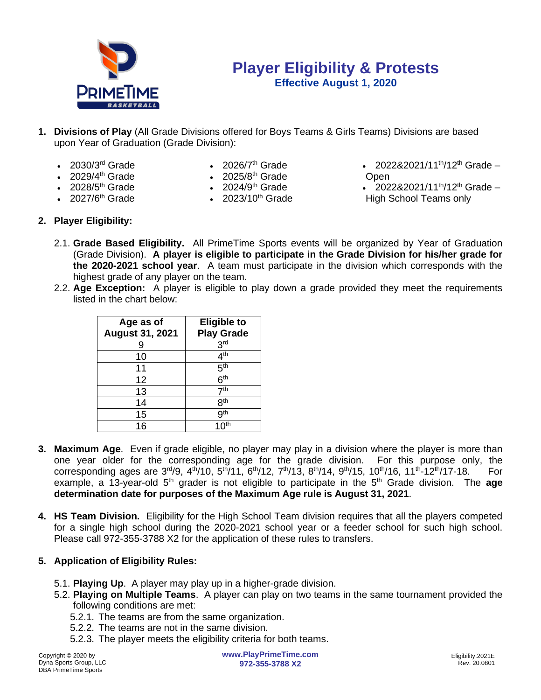

## **Player Eligibility & Protests Effective August 1, 2020**

- **1. Divisions of Play** (All Grade Divisions offered for Boys Teams & Girls Teams) Divisions are based upon Year of Graduation (Grade Division):
	- $\cdot$  2030/3<sup>rd</sup> Grade
- 2026/ $7<sup>th</sup>$  Grade
- 2028/5<sup>th</sup> Grade
- $2029/4$ <sup>th</sup> Grade  $\qquad \qquad$   $2025/8$ <sup>th</sup> Grade  $\qquad \qquad$  Open th Grade **•** 2025/8<sup>th</sup> Grade
	- $2024/9<sup>th</sup>$  Grade
	-
- 2022&2021/11<sup>th</sup>/12<sup>th</sup> Grade –
- 2022&2021/11<sup>th</sup>/12<sup>th</sup> Grade •  $2027/6<sup>th</sup>$  Grade •  $2023/10<sup>th</sup>$  Grade  $\qquad \qquad$  High School Teams only
- **2. Player Eligibility:**
	- 2.1. **Grade Based Eligibility.** All PrimeTime Sports events will be organized by Year of Graduation (Grade Division). **A player is eligible to participate in the Grade Division for his/her grade for the 2020-2021 school year**. A team must participate in the division which corresponds with the highest grade of any player on the team.
	- 2.2. **Age Exception:** A player is eligible to play down a grade provided they meet the requirements listed in the chart below:

| Age as of<br><b>August 31, 2021</b> | <b>Eligible to</b><br><b>Play Grade</b> |
|-------------------------------------|-----------------------------------------|
|                                     | 3 <sup>rd</sup>                         |
| 10                                  | 4 <sup>th</sup>                         |
| 11                                  | 5 <sup>th</sup>                         |
| 12                                  | 6 <sup>th</sup>                         |
| 13                                  | 7 <sup>th</sup>                         |
| 14                                  | 8 <sup>th</sup>                         |
| 15                                  | gth                                     |
| 16                                  |                                         |

- **3. Maximum Age**. Even if grade eligible, no player may play in a division where the player is more than one year older for the corresponding age for the grade division. For this purpose only, the corresponding ages are 3<sup>rd</sup>/9, 4<sup>th</sup>/10, 5<sup>th</sup>/11, 6<sup>th</sup>/12, 7<sup>th</sup>/13, 8<sup>th</sup>/14, 9<sup>th</sup>/15, 10<sup>th</sup>/16, 11<sup>th</sup>-12<sup>th</sup>/17-18. For example, a 13-year-old 5<sup>th</sup> grader is not eligible to participate in the 5<sup>th</sup> Grade division. The **age determination date for purposes of the Maximum Age rule is August 31, 2021**.
- **4. HS Team Division.** Eligibility for the High School Team division requires that all the players competed for a single high school during the 2020-2021 school year or a feeder school for such high school. Please call 972-355-3788 X2 for the application of these rules to transfers.
- **5. Application of Eligibility Rules:**
	- 5.1. **Playing Up**. A player may play up in a higher-grade division.
	- 5.2. **Playing on Multiple Teams**. A player can play on two teams in the same tournament provided the following conditions are met:
		- 5.2.1. The teams are from the same organization.
		- 5.2.2. The teams are not in the same division.
		- 5.2.3. The player meets the eligibility criteria for both teams.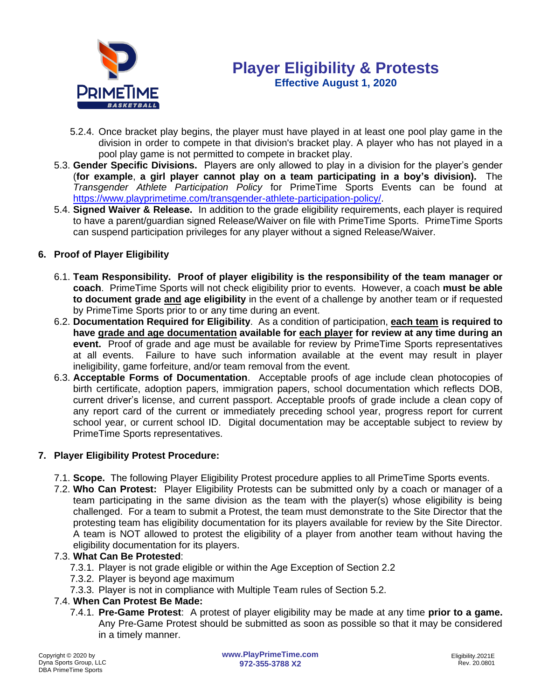

- 5.2.4. Once bracket play begins, the player must have played in at least one pool play game in the division in order to compete in that division's bracket play. A player who has not played in a pool play game is not permitted to compete in bracket play.
- 5.3. **Gender Specific Divisions.** Players are only allowed to play in a division for the player's gender (**for example**, **a girl player cannot play on a team participating in a boy's division).** The *Transgender Athlete Participation Policy* for PrimeTime Sports Events can be found at [https://www.playprimetime.com/transgender-athlete-participation-policy/.](https://www.playprimetime.com/transgender-athlete-participation-policy/)
- 5.4. **Signed Waiver & Release.** In addition to the grade eligibility requirements, each player is required to have a parent/guardian signed Release/Waiver on file with PrimeTime Sports. PrimeTime Sports can suspend participation privileges for any player without a signed Release/Waiver.

### **6. Proof of Player Eligibility**

- 6.1. **Team Responsibility. Proof of player eligibility is the responsibility of the team manager or coach**. PrimeTime Sports will not check eligibility prior to events. However, a coach **must be able to document grade and age eligibility** in the event of a challenge by another team or if requested by PrimeTime Sports prior to or any time during an event.
- 6.2. **Documentation Required for Eligibility**. As a condition of participation, **each team is required to have grade and age documentation available for each player for review at any time during an event.** Proof of grade and age must be available for review by PrimeTime Sports representatives at all events. Failure to have such information available at the event may result in player ineligibility, game forfeiture, and/or team removal from the event.
- 6.3. **Acceptable Forms of Documentation**. Acceptable proofs of age include clean photocopies of birth certificate, adoption papers, immigration papers, school documentation which reflects DOB, current driver's license, and current passport. Acceptable proofs of grade include a clean copy of any report card of the current or immediately preceding school year, progress report for current school year, or current school ID. Digital documentation may be acceptable subject to review by PrimeTime Sports representatives.

### **7. Player Eligibility Protest Procedure:**

- 7.1. **Scope.** The following Player Eligibility Protest procedure applies to all PrimeTime Sports events.
- 7.2. **Who Can Protest:** Player Eligibility Protests can be submitted only by a coach or manager of a team participating in the same division as the team with the player(s) whose eligibility is being challenged. For a team to submit a Protest, the team must demonstrate to the Site Director that the protesting team has eligibility documentation for its players available for review by the Site Director. A team is NOT allowed to protest the eligibility of a player from another team without having the eligibility documentation for its players.

### 7.3. **What Can Be Protested**:

- 7.3.1. Player is not grade eligible or within the Age Exception of Section 2.2
- 7.3.2. Player is beyond age maximum
- 7.3.3. Player is not in compliance with Multiple Team rules of Section 5.2.

#### 7.4. **When Can Protest Be Made:**

7.4.1. **Pre-Game Protest**: A protest of player eligibility may be made at any time **prior to a game.**  Any Pre-Game Protest should be submitted as soon as possible so that it may be considered in a timely manner.